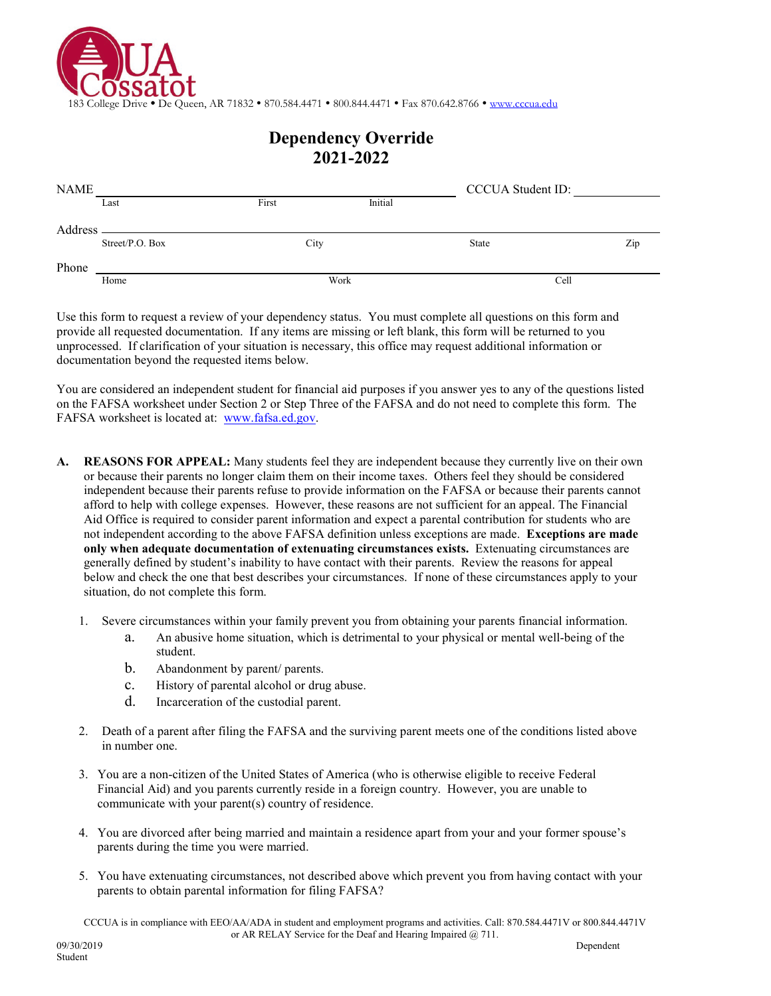

# **Dependency Override 2021-2022**

| <b>NAME</b> |                 |       |         | CCCUA Student ID: |     |
|-------------|-----------------|-------|---------|-------------------|-----|
|             | Last            | First | Initial |                   |     |
| Address     |                 |       |         |                   |     |
|             | Street/P.O. Box | City  |         | <b>State</b>      | Zip |
| Phone       |                 |       |         |                   |     |
|             | Home            | Work  |         | Cell              |     |

Use this form to request a review of your dependency status. You must complete all questions on this form and provide all requested documentation. If any items are missing or left blank, this form will be returned to you unprocessed. If clarification of your situation is necessary, this office may request additional information or documentation beyond the requested items below.

You are considered an independent student for financial aid purposes if you answer yes to any of the questions listed on the FAFSA worksheet under Section 2 or Step Three of the FAFSA and do not need to complete this form. The FAFSA worksheet is located at: [www.fafsa.ed.gov.](http://www.fafsa.ed.gov/)

- **A. REASONS FOR APPEAL:** Many students feel they are independent because they currently live on their own or because their parents no longer claim them on their income taxes. Others feel they should be considered independent because their parents refuse to provide information on the FAFSA or because their parents cannot afford to help with college expenses. However, these reasons are not sufficient for an appeal. The Financial Aid Office is required to consider parent information and expect a parental contribution for students who are not independent according to the above FAFSA definition unless exceptions are made. **Exceptions are made only when adequate documentation of extenuating circumstances exists.** Extenuating circumstances are generally defined by student's inability to have contact with their parents. Review the reasons for appeal below and check the one that best describes your circumstances. If none of these circumstances apply to your situation, do not complete this form.
	- 1. Severe circumstances within your family prevent you from obtaining your parents financial information.
		- a. An abusive home situation, which is detrimental to your physical or mental well-being of the student.
		- b. Abandonment by parent/ parents.
		- c. History of parental alcohol or drug abuse.
		- d. Incarceration of the custodial parent.
	- 2. Death of a parent after filing the FAFSA and the surviving parent meets one of the conditions listed above in number one.
	- 3. You are a non-citizen of the United States of America (who is otherwise eligible to receive Federal Financial Aid) and you parents currently reside in a foreign country. However, you are unable to communicate with your parent(s) country of residence.
	- 4. You are divorced after being married and maintain a residence apart from your and your former spouse's parents during the time you were married.
	- 5. You have extenuating circumstances, not described above which prevent you from having contact with your parents to obtain parental information for filing FAFSA?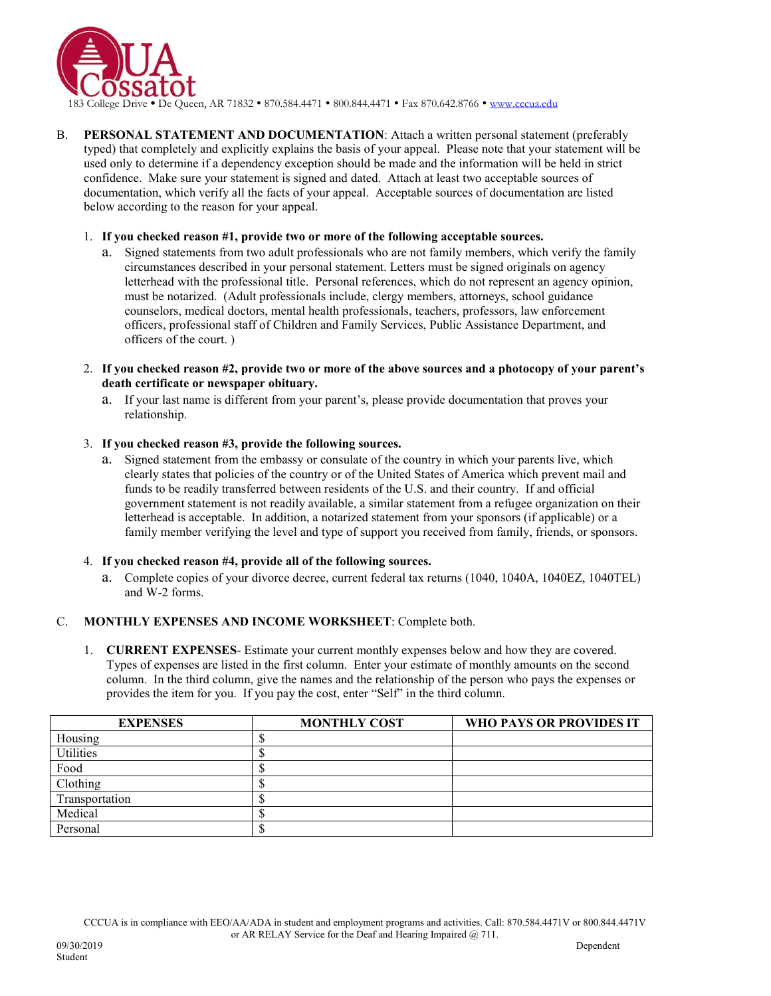

183 College Drive • De Queen, AR 71832 • 870.584.4471 • 800.844.4471 • Fax 870.642.8766 • [www.cccua.edu](http://www.cccua.edu/)

- B. **PERSONAL STATEMENT AND DOCUMENTATION**: Attach a written personal statement (preferably typed) that completely and explicitly explains the basis of your appeal. Please note that your statement will be used only to determine if a dependency exception should be made and the information will be held in strict confidence. Make sure your statement is signed and dated. Attach at least two acceptable sources of documentation, which verify all the facts of your appeal. Acceptable sources of documentation are listed below according to the reason for your appeal.
	- 1. **If you checked reason #1, provide two or more of the following acceptable sources.**
		- a. Signed statements from two adult professionals who are not family members, which verify the family circumstances described in your personal statement. Letters must be signed originals on agency letterhead with the professional title. Personal references, which do not represent an agency opinion, must be notarized. (Adult professionals include, clergy members, attorneys, school guidance counselors, medical doctors, mental health professionals, teachers, professors, law enforcement officers, professional staff of Children and Family Services, Public Assistance Department, and officers of the court. )
	- 2. **If you checked reason #2, provide two or more of the above sources and a photocopy of your parent's death certificate or newspaper obituary.**
		- a. If your last name is different from your parent's, please provide documentation that proves your relationship.

#### 3. **If you checked reason #3, provide the following sources.**

a. Signed statement from the embassy or consulate of the country in which your parents live, which clearly states that policies of the country or of the United States of America which prevent mail and funds to be readily transferred between residents of the U.S. and their country. If and official government statement is not readily available, a similar statement from a refugee organization on their letterhead is acceptable. In addition, a notarized statement from your sponsors (if applicable) or a family member verifying the level and type of support you received from family, friends, or sponsors.

#### 4. **If you checked reason #4, provide all of the following sources.**

- a. Complete copies of your divorce decree, current federal tax returns (1040, 1040A, 1040EZ, 1040TEL) and W-2 forms.
- C. **MONTHLY EXPENSES AND INCOME WORKSHEET**: Complete both.
	- 1. **CURRENT EXPENSES** Estimate your current monthly expenses below and how they are covered. Types of expenses are listed in the first column. Enter your estimate of monthly amounts on the second column. In the third column, give the names and the relationship of the person who pays the expenses or provides the item for you. If you pay the cost, enter "Self" in the third column.

| <b>EXPENSES</b>  | <b>MONTHLY COST</b> | <b>WHO PAYS OR PROVIDES IT</b> |
|------------------|---------------------|--------------------------------|
| Housing          |                     |                                |
| <b>Utilities</b> |                     |                                |
| Food             |                     |                                |
| Clothing         |                     |                                |
| Transportation   |                     |                                |
| Medical          |                     |                                |
| Personal         | Φ                   |                                |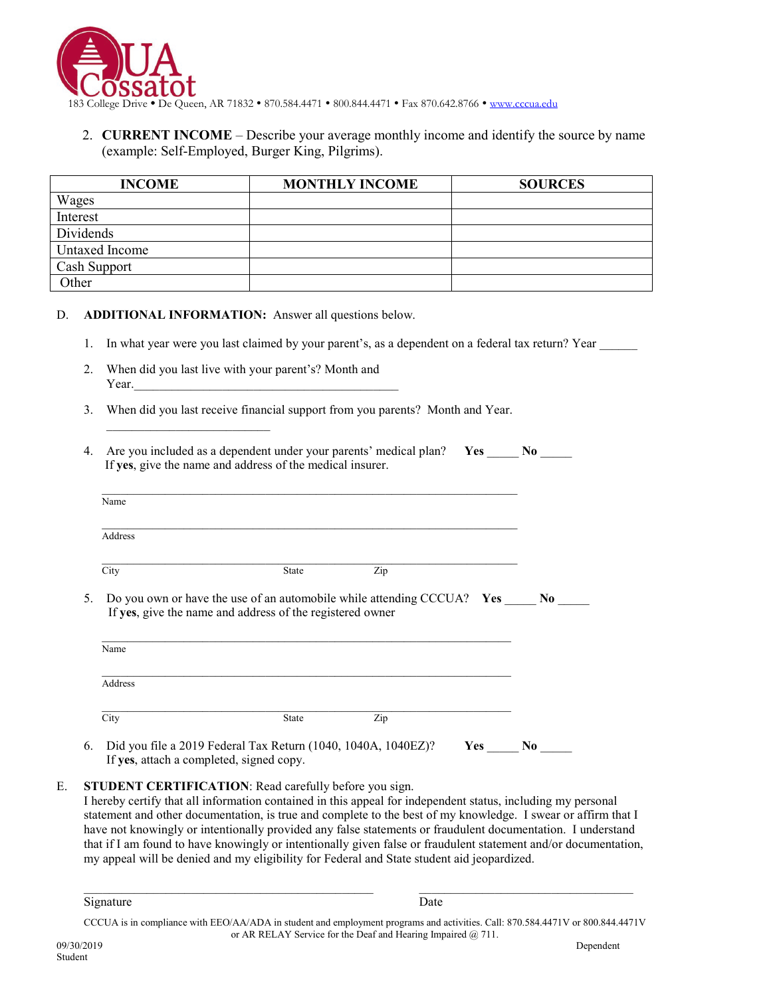

2. **CURRENT INCOME** – Describe your average monthly income and identify the source by name (example: Self-Employed, Burger King, Pilgrims).

| <b>INCOME</b>  | <b>MONTHLY INCOME</b> | <b>SOURCES</b> |
|----------------|-----------------------|----------------|
| Wages          |                       |                |
| Interest       |                       |                |
| Dividends      |                       |                |
| Untaxed Income |                       |                |
| Cash Support   |                       |                |
| Other          |                       |                |

- D. **ADDITIONAL INFORMATION:** Answer all questions below.
	- 1. In what year were you last claimed by your parent's, as a dependent on a federal tax return? Year
	- 2. When did you last live with your parent's? Month and  $Year.$

\_\_\_\_\_\_\_\_\_\_\_\_\_\_\_\_\_\_\_\_\_\_\_\_\_\_

- 3. When did you last receive financial support from you parents? Month and Year.
- 4. Are you included as a dependent under your parents' medical plan? **Yes** No If **yes**, give the name and address of the medical insurer.

| Address |                                                                                                                                        |     |  |
|---------|----------------------------------------------------------------------------------------------------------------------------------------|-----|--|
| City    | State                                                                                                                                  | Zip |  |
|         |                                                                                                                                        |     |  |
|         | Do you own or have the use of an automobile while attending CCCUA? Yes No<br>If yes, give the name and address of the registered owner |     |  |
| Name    |                                                                                                                                        |     |  |
| Address |                                                                                                                                        |     |  |

- If **yes**, attach a completed, signed copy.
- E. **STUDENT CERTIFICATION**: Read carefully before you sign.

I hereby certify that all information contained in this appeal for independent status, including my personal statement and other documentation, is true and complete to the best of my knowledge. I swear or affirm that I have not knowingly or intentionally provided any false statements or fraudulent documentation. I understand that if I am found to have knowingly or intentionally given false or fraudulent statement and/or documentation, my appeal will be denied and my eligibility for Federal and State student aid jeopardized.